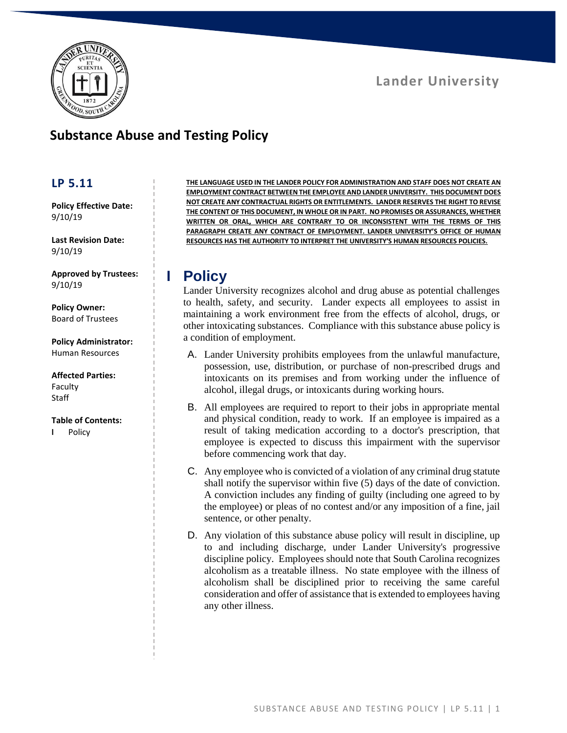



## **Substance Abuse and Testing Policy**

### **LP 5.11**

**Policy Effective Date:** 9/10/19

**Last Revision Date:** 9/10/19

**Approved by Trustees:** 9/10/19

**Policy Owner:** Board of Trustees

**Policy Administrator:** Human Resources

**Affected Parties:** Faculty

#### **Table of Contents:**

**I** Policy

**Staff** 

**THE LANGUAGE USED IN THE LANDER POLICY FOR ADMINISTRATION AND STAFF DOES NOT CREATE AN EMPLOYMENT CONTRACT BETWEEN THE EMPLOYEE AND LANDER UNIVERSITY. THIS DOCUMENT DOES NOT CREATE ANY CONTRACTUAL RIGHTS OR ENTITLEMENTS. LANDER RESERVES THE RIGHT TO REVISE THE CONTENT OF THIS DOCUMENT, IN WHOLE OR IN PART. NO PROMISES OR ASSURANCES, WHETHER WRITTEN OR ORAL, WHICH ARE CONTRARY TO OR INCONSISTENT WITH THE TERMS OF THIS PARAGRAPH CREATE ANY CONTRACT OF EMPLOYMENT. LANDER UNIVERSITY'S OFFICE OF HUMAN RESOURCES HAS THE AUTHORITY TO INTERPRET THE UNIVERSITY'S HUMAN RESOURCES POLICIES.**

### **I Policy**

Lander University recognizes alcohol and drug abuse as potential challenges to health, safety, and security. Lander expects all employees to assist in maintaining a work environment free from the effects of alcohol, drugs, or other intoxicating substances. Compliance with this substance abuse policy is a condition of employment.

- A. Lander University prohibits employees from the unlawful manufacture, possession, use, distribution, or purchase of non-prescribed drugs and intoxicants on its premises and from working under the influence of alcohol, illegal drugs, or intoxicants during working hours.
- B. All employees are required to report to their jobs in appropriate mental and physical condition, ready to work. If an employee is impaired as a result of taking medication according to a doctor's prescription, that employee is expected to discuss this impairment with the supervisor before commencing work that day.
- C. Any employee who is convicted of a violation of any criminal drug statute shall notify the supervisor within five (5) days of the date of conviction. A conviction includes any finding of guilty (including one agreed to by the employee) or pleas of no contest and/or any imposition of a fine, jail sentence, or other penalty.
- D. Any violation of this substance abuse policy will result in discipline, up to and including discharge, under Lander University's progressive discipline policy. Employees should note that South Carolina recognizes alcoholism as a treatable illness. No state employee with the illness of alcoholism shall be disciplined prior to receiving the same careful consideration and offer of assistance that is extended to employees having any other illness.